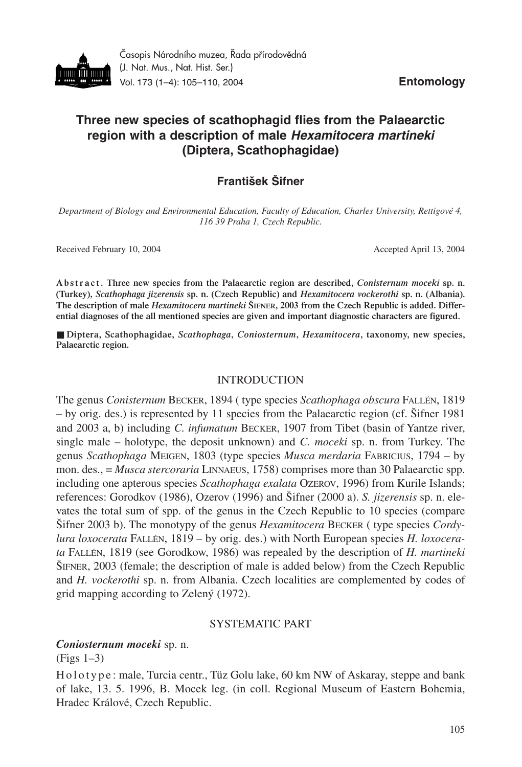

Časopis Národního muzea, Řada přírodovědná (J. Nat. Mus., Nat. Hist. Ser.) Vol. 173 (1–4): 105–110, 2004 **Entomology**

# **Three new species of scathophagid flies from the Palaearctic region with a description of male** *Hexamitocera martineki* **(Diptera, Scathophagidae)**

# **František Šifner**

*Department of Biology and Environmental Education, Faculty of Education, Charles University, Rettigové 4, 116 39 Praha 1, Czech Republic.*

Received February 10, 2004 **Accepted April 13, 2004** Accepted April 13, 2004

**A b s t r a c t . Three new species from the Palaearctic region are described,** *Conisternum moceki* **sp. n. (Turkey),** *Scathophaga jizerensis* **sp. n. (Czech Republic) and** *Hexamitocera vockerothi* **sp. n. (Albania). The description of male** *Hexamitocera martineki* **ŠIFNER, 2003 from the Czech Republic is added. Differential diagnoses of the all mentioned species are given and important diagnostic characters are figured.**

■ **Diptera, Scathophagidae,** *Scathophaga***,** *Coniosternum***,** *Hexamitocera***, taxonomy, new species, Palaearctic region.**

### INTRODUCTION

The genus *Conisternum* BECKER, 1894 ( type species *Scathophaga obscura* FALLÉN, 1819 – by orig. des.) is represented by 11 species from the Palaearctic region (cf. Šifner 1981 and 2003 a, b) including *C. infumatum* BECKER, 1907 from Tibet (basin of Yantze river, single male – holotype, the deposit unknown) and *C. moceki* sp. n. from Turkey. The genus *Scathophaga* MEIGEN, 1803 (type species *Musca merdaria* FABRICIUS, 1794 – by mon. des., = *Musca stercoraria* LINNAEUS, 1758) comprises more than 30 Palaearctic spp. including one apterous species *Scathophaga exalata* OZEROV, 1996) from Kurile Islands; references: Gorodkov (1986), Ozerov (1996) and Šifner (2000 a). *S. jizerensis* sp. n. elevates the total sum of spp. of the genus in the Czech Republic to 10 species (compare Sifner 2003 b). The monotypy of the genus *Hexamitocera* BECKER (type species *Cordylura loxocerata* FALLÉN, 1819 – by orig. des.) with North European species *H. loxocerata* FALLÉN, 1819 (see Gorodkow, 1986) was repealed by the description of *H. martineki* ŠIFNER, 2003 (female; the description of male is added below) from the Czech Republic and *H. vockerothi* sp. n. from Albania. Czech localities are complemented by codes of grid mapping according to Zelený (1972).

## SYSTEMATIC PART

## *Coniosternum moceki* sp. n.

(Figs 1–3)

H o l o t y p e : male, Turcia centr., Tüz Golu lake, 60 km NW of Askaray, steppe and bank of lake, 13. 5. 1996, B. Mocek leg. (in coll. Regional Museum of Eastern Bohemia, Hradec Králové, Czech Republic.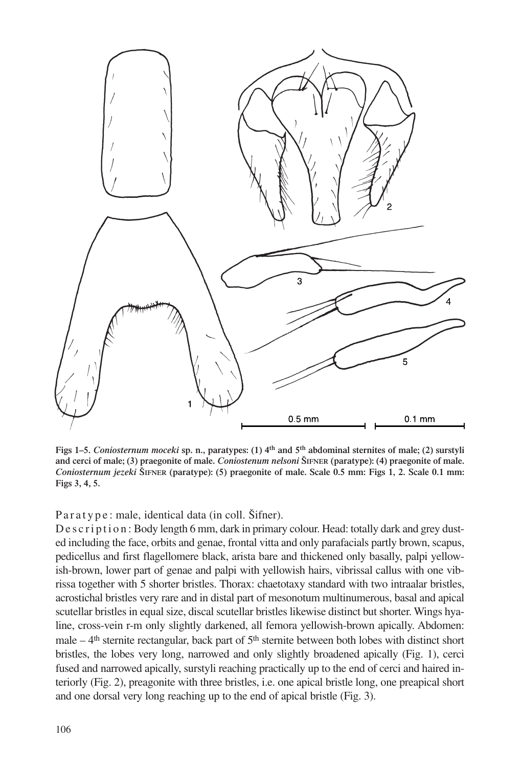

**Figs 1–5.** *Coniosternum moceki* **sp. n., paratypes: (1) 4th and 5th abdominal sternites of male; (2) surstyli and cerci of male; (3) praegonite of male.** *Coniostenum nelsoni* **ŠIFNER (paratype): (4) praegonite of male.** *Coniosternum jezeki* **ŠIFNER (paratype): (5) praegonite of male. Scale 0.5 mm: Figs 1, 2. Scale 0.1 mm: Figs 3, 4, 5.**

P a r a t y p e : male, identical data (in coll. Sifner).

De s c r i p t i o n : Body length 6 mm, dark in primary colour. Head: totally dark and grey dusted including the face, orbits and genae, frontal vitta and only parafacials partly brown, scapus, pedicellus and first flagellomere black, arista bare and thickened only basally, palpi yellowish-brown, lower part of genae and palpi with yellowish hairs, vibrissal callus with one vibrissa together with 5 shorter bristles. Thorax: chaetotaxy standard with two intraalar bristles, acrostichal bristles very rare and in distal part of mesonotum multinumerous, basal and apical scutellar bristles in equal size, discal scutellar bristles likewise distinct but shorter. Wings hyaline, cross-vein r-m only slightly darkened, all femora yellowish-brown apically. Abdomen: male  $-4$ <sup>th</sup> sternite rectangular, back part of  $5$ <sup>th</sup> sternite between both lobes with distinct short bristles, the lobes very long, narrowed and only slightly broadened apically (Fig. 1), cerci fused and narrowed apically, surstyli reaching practically up to the end of cerci and haired interiorly (Fig. 2), preagonite with three bristles, i.e. one apical bristle long, one preapical short and one dorsal very long reaching up to the end of apical bristle (Fig. 3).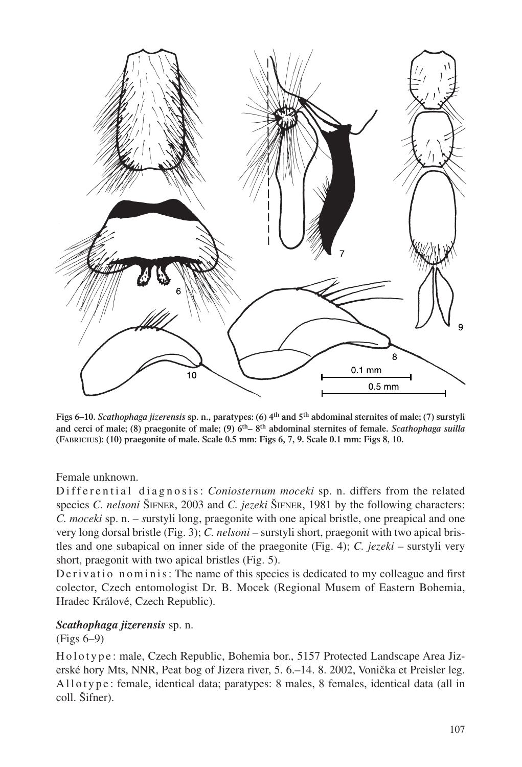

**Figs 6–10.** *Scathophaga jizerensis* **sp. n., paratypes: (6) 4th and 5th abdominal sternites of male; (7) surstyli** and cerci of male; (8) praegonite of male; (9)  $6<sup>th</sup> – 8<sup>th</sup>$  abdominal sternites of female. *Scathophaga suilla* **(FABRICIUS): (10) praegonite of male. Scale 0.5 mm: Figs 6, 7, 9. Scale 0.1 mm: Figs 8, 10.**

Female unknown.

Differential diagnosis: *Coniosternum moceki* sp. n. differs from the related species *C. nelsoni* ŠIFNER, 2003 and *C. jezeki* ŠIFNER, 1981 by the following characters: *C. moceki* sp. n. *– s*urstyli long, praegonite with one apical bristle, one preapical and one very long dorsal bristle (Fig. 3); *C. nelsoni* – surstyli short, praegonit with two apical bristles and one subapical on inner side of the praegonite (Fig. 4); *C. jezeki –* surstyli very short, praegonit with two apical bristles (Fig. 5).

D e rivation ominis: The name of this species is dedicated to my colleague and first colector, Czech entomologist Dr. B. Mocek (Regional Musem of Eastern Bohemia, Hradec Králové, Czech Republic).

# *Scathophaga jizerensis* sp. n.

# (Figs 6–9)

Holotype: male, Czech Republic, Bohemia bor., 5157 Protected Landscape Area Jizerské hory Mts, NNR, Peat bog of Jizera river, 5. 6.–14. 8. 2002, Vonička et Preisler leg. All otype: female, identical data; paratypes: 8 males, 8 females, identical data (all in coll. Šifner).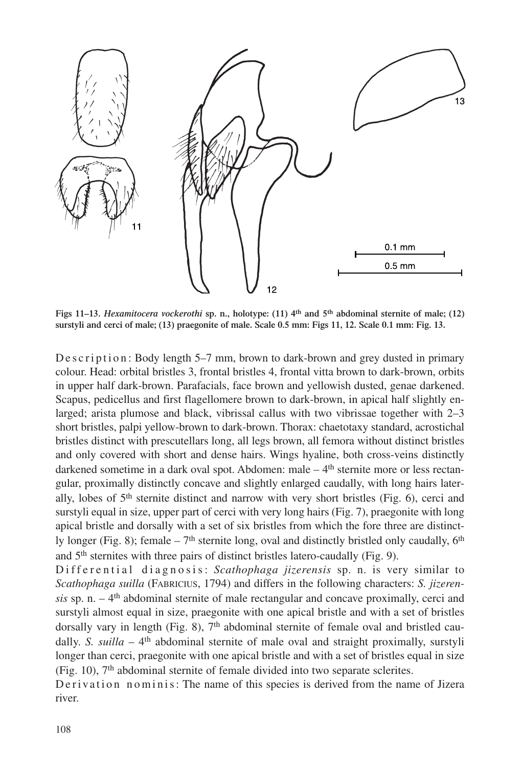

**Figs 11–13.** *Hexamitocera vockerothi* **sp. n., holotype: (11) 4th and 5th abdominal sternite of male; (12) surstyli and cerci of male; (13) praegonite of male. Scale 0.5 mm: Figs 11, 12. Scale 0.1 mm: Fig. 13.**

De s c ription: Body length 5–7 mm, brown to dark-brown and grey dusted in primary colour. Head: orbital bristles 3, frontal bristles 4, frontal vitta brown to dark-brown, orbits in upper half dark-brown. Parafacials, face brown and yellowish dusted, genae darkened. Scapus, pedicellus and first flagellomere brown to dark-brown, in apical half slightly enlarged; arista plumose and black, vibrissal callus with two vibrissae together with 2–3 short bristles, palpi yellow-brown to dark-brown. Thorax: chaetotaxy standard, acrostichal bristles distinct with prescutellars long, all legs brown, all femora without distinct bristles and only covered with short and dense hairs. Wings hyaline, both cross-veins distinctly darkened sometime in a dark oval spot. Abdomen: male  $-4<sup>th</sup>$  sternite more or less rectangular, proximally distinctly concave and slightly enlarged caudally, with long hairs laterally, lobes of  $5<sup>th</sup>$  sternite distinct and narrow with very short bristles (Fig. 6), cerci and surstyli equal in size, upper part of cerci with very long hairs (Fig. 7), praegonite with long apical bristle and dorsally with a set of six bristles from which the fore three are distinctly longer (Fig. 8); female –  $7<sup>th</sup>$  sternite long, oval and distinctly bristled only caudally,  $6<sup>th</sup>$ and 5th sternites with three pairs of distinct bristles latero-caudally (Fig. 9).

Differential diagnosis: Scathophaga jizerensis sp. n. is very similar to *Scathophaga suilla* (FABRICIUS, 1794) and differs in the following characters: *S. jizeren* $sis$  sp. n.  $-4$ <sup>th</sup> abdominal sternite of male rectangular and concave proximally, cerci and surstyli almost equal in size, praegonite with one apical bristle and with a set of bristles dorsally vary in length (Fig. 8),  $7<sup>th</sup>$  abdominal sternite of female oval and bristled caudally. *S. suilla* –  $4<sup>th</sup>$  abdominal sternite of male oval and straight proximally, surstyli longer than cerci, praegonite with one apical bristle and with a set of bristles equal in size (Fig. 10), 7th abdominal sternite of female divided into two separate sclerites.

D e rivation nominis: The name of this species is derived from the name of Jizera river.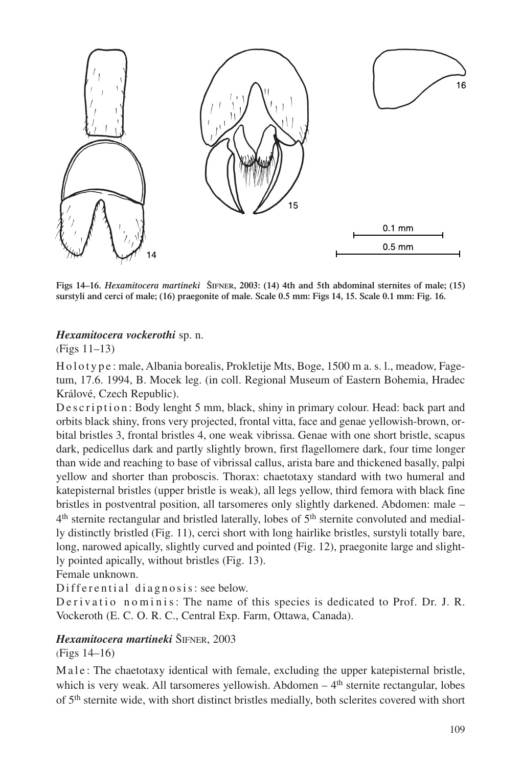

**Figs 14–16.** *Hexamitocera martineki* **ŠIFNER, 2003: (14) 4th and 5th abdominal sternites of male; (15) surstyli and cerci of male; (16) praegonite of male. Scale 0.5 mm: Figs 14, 15. Scale 0.1 mm: Fig. 16.**

## *Hexamitocera vockerothi* sp. n.

(Figs 11–13)

H o l o t y p e : male, Albania borealis, Prokletije Mts, Boge, 1500 m a. s. l., meadow, Fagetum, 17.6. 1994, B. Mocek leg. (in coll. Regional Museum of Eastern Bohemia, Hradec Králové, Czech Republic).

De s c ription: Body lenght 5 mm, black, shiny in primary colour. Head: back part and orbits black shiny, frons very projected, frontal vitta, face and genae yellowish-brown, orbital bristles 3, frontal bristles 4, one weak vibrissa. Genae with one short bristle, scapus dark, pedicellus dark and partly slightly brown, first flagellomere dark, four time longer than wide and reaching to base of vibrissal callus, arista bare and thickened basally, palpi yellow and shorter than proboscis. Thorax: chaetotaxy standard with two humeral and katepisternal bristles (upper bristle is weak), all legs yellow, third femora with black fine bristles in postventral position, all tarsomeres only slightly darkened. Abdomen: male –  $4<sup>th</sup>$  sternite rectangular and bristled laterally, lobes of  $5<sup>th</sup>$  sternite convoluted and medially distinctly bristled (Fig. 11), cerci short with long hairlike bristles, surstyli totally bare, long, narowed apically, slightly curved and pointed (Fig. 12), praegonite large and slightly pointed apically, without bristles (Fig. 13).

Female unknown.

Differential diagnosis: see below.

De rivatio nominis: The name of this species is dedicated to Prof. Dr. J. R. Vockeroth (E. C. O. R. C., Central Exp. Farm, Ottawa, Canada).

## *Hexamitocera martineki* ŠIFNER, 2003

(Figs 14–16)

M a l e: The chaetotaxy identical with female, excluding the upper katepisternal bristle, which is very weak. All tarsomeres yellowish. Abdomen  $-4<sup>th</sup>$  sternite rectangular, lobes of 5th sternite wide, with short distinct bristles medially, both sclerites covered with short